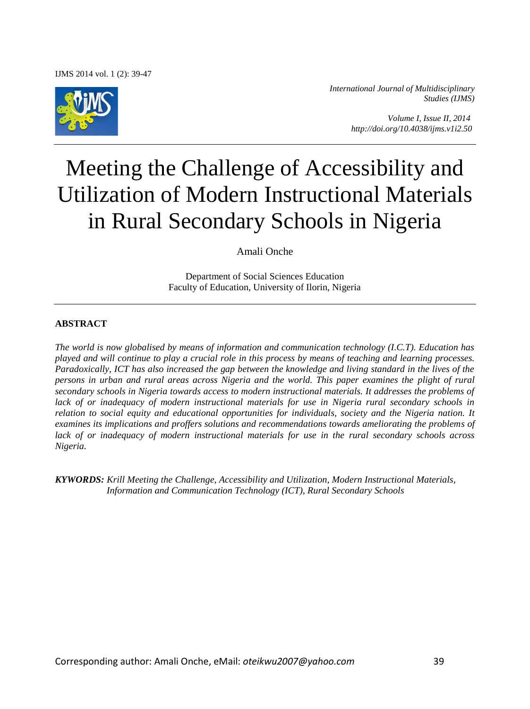IJMS 2014 vol. 1 (2): 39-47



*International Journal of Multidisciplinary Studies (IJMS)* 

> *Volume I, Issue II, 2014 http://doi.org/10.4038/ijms.v1i2.50*

# Meeting the Challenge of Accessibility and Utilization of Modern Instructional Materials in Rural Secondary Schools in Nigeria

Amali Onche

Department of Social Sciences Education Faculty of Education, University of Ilorin, Nigeria

#### **ABSTRACT**

*The world is now globalised by means of information and communication technology (I.C.T). Education has played and will continue to play a crucial role in this process by means of teaching and learning processes. Paradoxically, ICT has also increased the gap between the knowledge and living standard in the lives of the persons in urban and rural areas across Nigeria and the world. This paper examines the plight of rural secondary schools in Nigeria towards access to modern instructional materials. It addresses the problems of lack of or inadequacy of modern instructional materials for use in Nigeria rural secondary schools in relation to social equity and educational opportunities for individuals, society and the Nigeria nation. It examines its implications and proffers solutions and recommendations towards ameliorating the problems of lack of or inadequacy of modern instructional materials for use in the rural secondary schools across Nigeria.* 

*KYWORDS: Krill Meeting the Challenge, Accessibility and Utilization, Modern Instructional Materials, Information and Communication Technology (ICT), Rural Secondary Schools*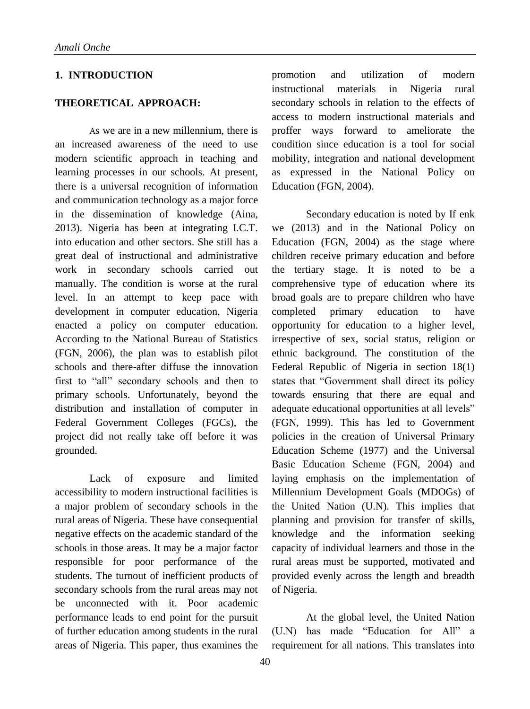## **1. INTRODUCTION**

### **THEORETICAL APPROACH:**

As we are in a new millennium, there is an increased awareness of the need to use modern scientific approach in teaching and learning processes in our schools. At present, there is a universal recognition of information and communication technology as a major force in the dissemination of knowledge (Aina, 2013). Nigeria has been at integrating I.C.T. into education and other sectors. She still has a great deal of instructional and administrative work in secondary schools carried out manually. The condition is worse at the rural level. In an attempt to keep pace with development in computer education, Nigeria enacted a policy on computer education. According to the National Bureau of Statistics (FGN, 2006), the plan was to establish pilot schools and there-after diffuse the innovation first to "all" secondary schools and then to primary schools. Unfortunately, beyond the distribution and installation of computer in Federal Government Colleges (FGCs), the project did not really take off before it was grounded.

Lack of exposure and limited accessibility to modern instructional facilities is a major problem of secondary schools in the rural areas of Nigeria. These have consequential negative effects on the academic standard of the schools in those areas. It may be a major factor responsible for poor performance of the students. The turnout of inefficient products of secondary schools from the rural areas may not be unconnected with it. Poor academic performance leads to end point for the pursuit of further education among students in the rural areas of Nigeria. This paper, thus examines the

promotion and utilization of modern instructional materials in Nigeria rural secondary schools in relation to the effects of access to modern instructional materials and proffer ways forward to ameliorate the condition since education is a tool for social mobility, integration and national development as expressed in the National Policy on Education (FGN, 2004).

Secondary education is noted by If enk we (2013) and in the National Policy on Education (FGN, 2004) as the stage where children receive primary education and before the tertiary stage. It is noted to be a comprehensive type of education where its broad goals are to prepare children who have completed primary education to have opportunity for education to a higher level, irrespective of sex, social status, religion or ethnic background. The constitution of the Federal Republic of Nigeria in section 18(1) states that "Government shall direct its policy towards ensuring that there are equal and adequate educational opportunities at all levels" (FGN, 1999). This has led to Government policies in the creation of Universal Primary Education Scheme (1977) and the Universal Basic Education Scheme (FGN, 2004) and laying emphasis on the implementation of Millennium Development Goals (MDOGs) of the United Nation (U.N). This implies that planning and provision for transfer of skills, knowledge and the information seeking capacity of individual learners and those in the rural areas must be supported, motivated and provided evenly across the length and breadth of Nigeria.

At the global level, the United Nation (U.N) has made "Education for All" a requirement for all nations. This translates into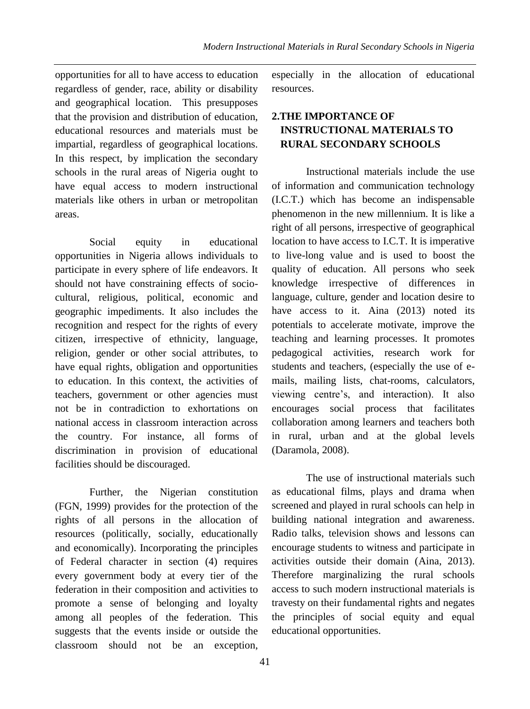opportunities for all to have access to education regardless of gender, race, ability or disability and geographical location. This presupposes that the provision and distribution of education, educational resources and materials must be impartial, regardless of geographical locations. In this respect, by implication the secondary schools in the rural areas of Nigeria ought to have equal access to modern instructional materials like others in urban or metropolitan areas.

Social equity in educational opportunities in Nigeria allows individuals to participate in every sphere of life endeavors. It should not have constraining effects of sociocultural, religious, political, economic and geographic impediments. It also includes the recognition and respect for the rights of every citizen, irrespective of ethnicity, language, religion, gender or other social attributes, to have equal rights, obligation and opportunities to education. In this context, the activities of teachers, government or other agencies must not be in contradiction to exhortations on national access in classroom interaction across the country. For instance, all forms of discrimination in provision of educational facilities should be discouraged.

Further, the Nigerian constitution (FGN, 1999) provides for the protection of the rights of all persons in the allocation of resources (politically, socially, educationally and economically). Incorporating the principles of Federal character in section (4) requires every government body at every tier of the federation in their composition and activities to promote a sense of belonging and loyalty among all peoples of the federation. This suggests that the events inside or outside the classroom should not be an exception,

especially in the allocation of educational resources.

## **2.THE IMPORTANCE OF INSTRUCTIONAL MATERIALS TO RURAL SECONDARY SCHOOLS**

Instructional materials include the use of information and communication technology (I.C.T.) which has become an indispensable phenomenon in the new millennium. It is like a right of all persons, irrespective of geographical location to have access to I.C.T. It is imperative to live-long value and is used to boost the quality of education. All persons who seek knowledge irrespective of differences in language, culture, gender and location desire to have access to it. Aina (2013) noted its potentials to accelerate motivate, improve the teaching and learning processes. It promotes pedagogical activities, research work for students and teachers, (especially the use of emails, mailing lists, chat-rooms, calculators, viewing centre's, and interaction). It also encourages social process that facilitates collaboration among learners and teachers both in rural, urban and at the global levels (Daramola, 2008).

The use of instructional materials such as educational films, plays and drama when screened and played in rural schools can help in building national integration and awareness. Radio talks, television shows and lessons can encourage students to witness and participate in activities outside their domain (Aina, 2013). Therefore marginalizing the rural schools access to such modern instructional materials is travesty on their fundamental rights and negates the principles of social equity and equal educational opportunities.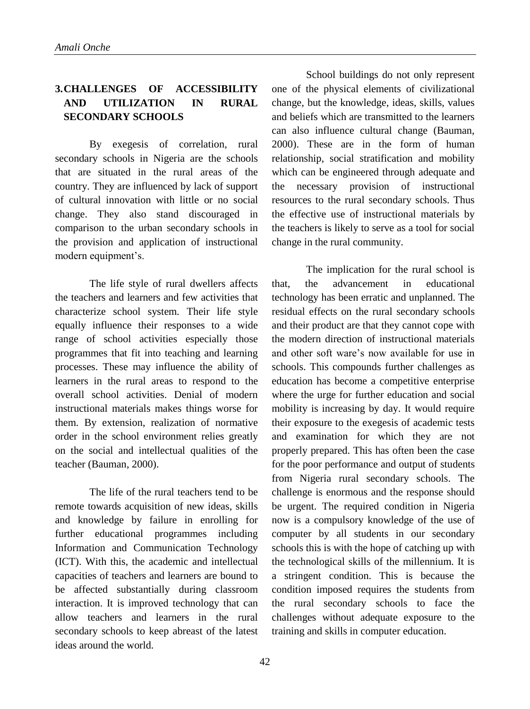## **3.CHALLENGES OF ACCESSIBILITY AND UTILIZATION IN RURAL SECONDARY SCHOOLS**

By exegesis of correlation, rural secondary schools in Nigeria are the schools that are situated in the rural areas of the country. They are influenced by lack of support of cultural innovation with little or no social change. They also stand discouraged in comparison to the urban secondary schools in the provision and application of instructional modern equipment's.

The life style of rural dwellers affects the teachers and learners and few activities that characterize school system. Their life style equally influence their responses to a wide range of school activities especially those programmes that fit into teaching and learning processes. These may influence the ability of learners in the rural areas to respond to the overall school activities. Denial of modern instructional materials makes things worse for them. By extension, realization of normative order in the school environment relies greatly on the social and intellectual qualities of the teacher (Bauman, 2000).

The life of the rural teachers tend to be remote towards acquisition of new ideas, skills and knowledge by failure in enrolling for further educational programmes including Information and Communication Technology (ICT). With this, the academic and intellectual capacities of teachers and learners are bound to be affected substantially during classroom interaction. It is improved technology that can allow teachers and learners in the rural secondary schools to keep abreast of the latest ideas around the world.

School buildings do not only represent one of the physical elements of civilizational change, but the knowledge, ideas, skills, values and beliefs which are transmitted to the learners can also influence cultural change (Bauman, 2000). These are in the form of human relationship, social stratification and mobility which can be engineered through adequate and the necessary provision of instructional resources to the rural secondary schools. Thus the effective use of instructional materials by the teachers is likely to serve as a tool for social change in the rural community.

The implication for the rural school is that, the advancement in educational technology has been erratic and unplanned. The residual effects on the rural secondary schools and their product are that they cannot cope with the modern direction of instructional materials and other soft ware's now available for use in schools. This compounds further challenges as education has become a competitive enterprise where the urge for further education and social mobility is increasing by day. It would require their exposure to the exegesis of academic tests and examination for which they are not properly prepared. This has often been the case for the poor performance and output of students from Nigeria rural secondary schools. The challenge is enormous and the response should be urgent. The required condition in Nigeria now is a compulsory knowledge of the use of computer by all students in our secondary schools this is with the hope of catching up with the technological skills of the millennium. It is a stringent condition. This is because the condition imposed requires the students from the rural secondary schools to face the challenges without adequate exposure to the training and skills in computer education.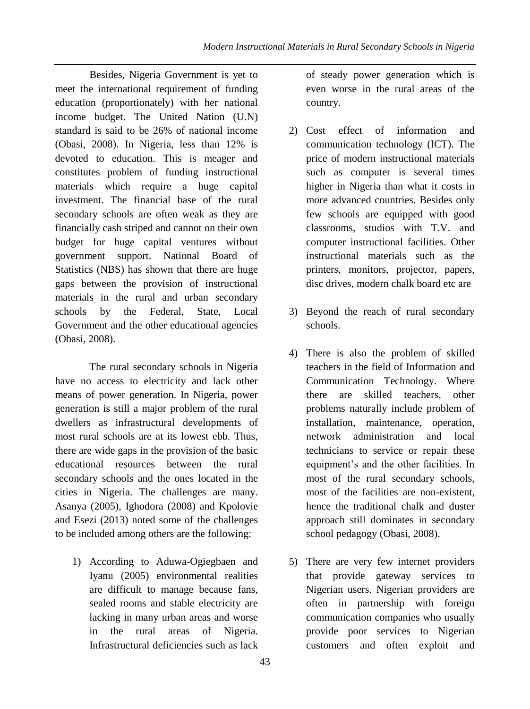Besides, Nigeria Government is yet to meet the international requirement of funding education (proportionately) with her national income budget. The United Nation (U.N) standard is said to be 26% of national income (Obasi, 2008). In Nigeria, less than 12% is devoted to education. This is meager and constitutes problem of funding instructional materials which require a huge capital investment. The financial base of the rural secondary schools are often weak as they are financially cash striped and cannot on their own budget for huge capital ventures without government support. National Board of Statistics (NBS) has shown that there are huge gaps between the provision of instructional materials in the rural and urban secondary schools by the Federal, State, Local Government and the other educational agencies (Obasi, 2008).

The rural secondary schools in Nigeria have no access to electricity and lack other means of power generation. In Nigeria, power generation is still a major problem of the rural dwellers as infrastructural developments of most rural schools are at its lowest ebb. Thus, there are wide gaps in the provision of the basic educational resources between the rural secondary schools and the ones located in the cities in Nigeria. The challenges are many. Asanya (2005), Ighodora (2008) and Kpolovie and Esezi (2013) noted some of the challenges to be included among others are the following:

1) According to Aduwa-Ogiegbaen and Iyanu (2005) environmental realities are difficult to manage because fans, sealed rooms and stable electricity are lacking in many urban areas and worse in the rural areas of Nigeria. Infrastructural deficiencies such as lack of steady power generation which is even worse in the rural areas of the country.

- 2) Cost effect of information and communication technology (ICT). The price of modern instructional materials such as computer is several times higher in Nigeria than what it costs in more advanced countries. Besides only few schools are equipped with good classrooms, studios with T.V. and computer instructional facilities. Other instructional materials such as the printers, monitors, projector, papers, disc drives, modern chalk board etc are
- 3) Beyond the reach of rural secondary schools.
- 4) There is also the problem of skilled teachers in the field of Information and Communication Technology. Where there are skilled teachers, other problems naturally include problem of installation, maintenance, operation, network administration and local technicians to service or repair these equipment's and the other facilities. In most of the rural secondary schools, most of the facilities are non-existent, hence the traditional chalk and duster approach still dominates in secondary school pedagogy (Obasi, 2008).
- 5) There are very few internet providers that provide gateway services to Nigerian users. Nigerian providers are often in partnership with foreign communication companies who usually provide poor services to Nigerian customers and often exploit and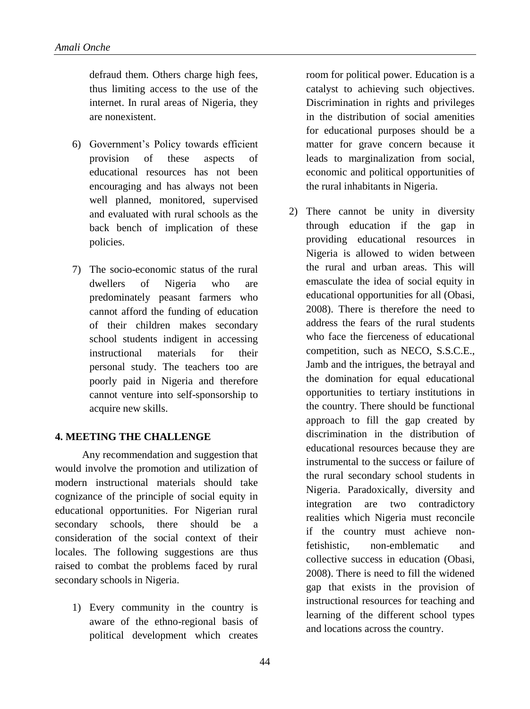defraud them. Others charge high fees, thus limiting access to the use of the internet. In rural areas of Nigeria, they are nonexistent.

- 6) Government's Policy towards efficient provision of these aspects of educational resources has not been encouraging and has always not been well planned, monitored, supervised and evaluated with rural schools as the back bench of implication of these policies.
- 7) The socio-economic status of the rural dwellers of Nigeria who are predominately peasant farmers who cannot afford the funding of education of their children makes secondary school students indigent in accessing instructional materials for their personal study. The teachers too are poorly paid in Nigeria and therefore cannot venture into self-sponsorship to acquire new skills.

## **4. MEETING THE CHALLENGE**

Any recommendation and suggestion that would involve the promotion and utilization of modern instructional materials should take cognizance of the principle of social equity in educational opportunities. For Nigerian rural secondary schools, there should be a consideration of the social context of their locales. The following suggestions are thus raised to combat the problems faced by rural secondary schools in Nigeria.

1) Every community in the country is aware of the ethno-regional basis of political development which creates room for political power. Education is a catalyst to achieving such objectives. Discrimination in rights and privileges in the distribution of social amenities for educational purposes should be a matter for grave concern because it leads to marginalization from social, economic and political opportunities of the rural inhabitants in Nigeria.

2) There cannot be unity in diversity through education if the gap in providing educational resources in Nigeria is allowed to widen between the rural and urban areas. This will emasculate the idea of social equity in educational opportunities for all (Obasi, 2008). There is therefore the need to address the fears of the rural students who face the fierceness of educational competition, such as NECO, S.S.C.E., Jamb and the intrigues, the betrayal and the domination for equal educational opportunities to tertiary institutions in the country. There should be functional approach to fill the gap created by discrimination in the distribution of educational resources because they are instrumental to the success or failure of the rural secondary school students in Nigeria. Paradoxically, diversity and integration are two contradictory realities which Nigeria must reconcile if the country must achieve nonfetishistic, non-emblematic and collective success in education (Obasi, 2008). There is need to fill the widened gap that exists in the provision of instructional resources for teaching and learning of the different school types and locations across the country.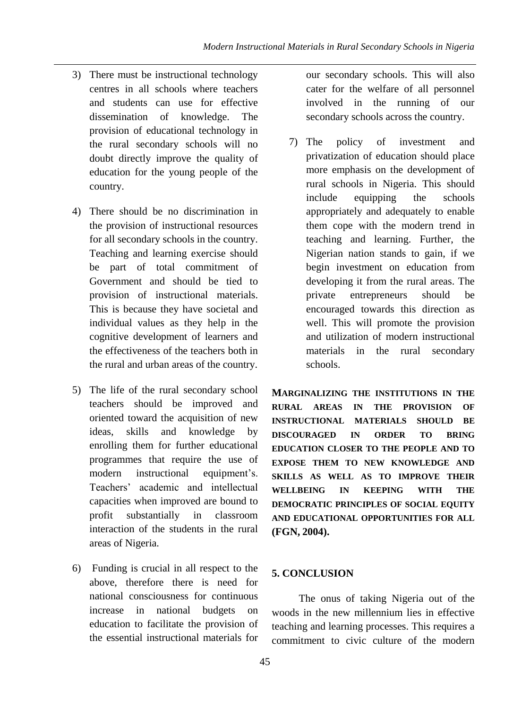- 3) There must be instructional technology centres in all schools where teachers and students can use for effective dissemination of knowledge. The provision of educational technology in the rural secondary schools will no doubt directly improve the quality of education for the young people of the country.
- 4) There should be no discrimination in the provision of instructional resources for all secondary schools in the country. Teaching and learning exercise should be part of total commitment of Government and should be tied to provision of instructional materials. This is because they have societal and individual values as they help in the cognitive development of learners and the effectiveness of the teachers both in the rural and urban areas of the country.
- 5) The life of the rural secondary school teachers should be improved and oriented toward the acquisition of new ideas, skills and knowledge by enrolling them for further educational programmes that require the use of modern instructional equipment's. Teachers' academic and intellectual capacities when improved are bound to profit substantially in classroom interaction of the students in the rural areas of Nigeria.
- 6) Funding is crucial in all respect to the above, therefore there is need for national consciousness for continuous increase in national budgets on education to facilitate the provision of the essential instructional materials for

our secondary schools. This will also cater for the welfare of all personnel involved in the running of our secondary schools across the country.

7) The policy of investment and privatization of education should place more emphasis on the development of rural schools in Nigeria. This should include equipping the schools appropriately and adequately to enable them cope with the modern trend in teaching and learning. Further, the Nigerian nation stands to gain, if we begin investment on education from developing it from the rural areas. The private entrepreneurs should be encouraged towards this direction as well. This will promote the provision and utilization of modern instructional materials in the rural secondary schools.

**MARGINALIZING THE INSTITUTIONS IN THE RURAL AREAS IN THE PROVISION OF INSTRUCTIONAL MATERIALS SHOULD BE DISCOURAGED IN ORDER TO BRING EDUCATION CLOSER TO THE PEOPLE AND TO EXPOSE THEM TO NEW KNOWLEDGE AND SKILLS AS WELL AS TO IMPROVE THEIR WELLBEING IN KEEPING WITH THE DEMOCRATIC PRINCIPLES OF SOCIAL EQUITY AND EDUCATIONAL OPPORTUNITIES FOR ALL (FGN, 2004).**

## **5. CONCLUSION**

The onus of taking Nigeria out of the woods in the new millennium lies in effective teaching and learning processes. This requires a commitment to civic culture of the modern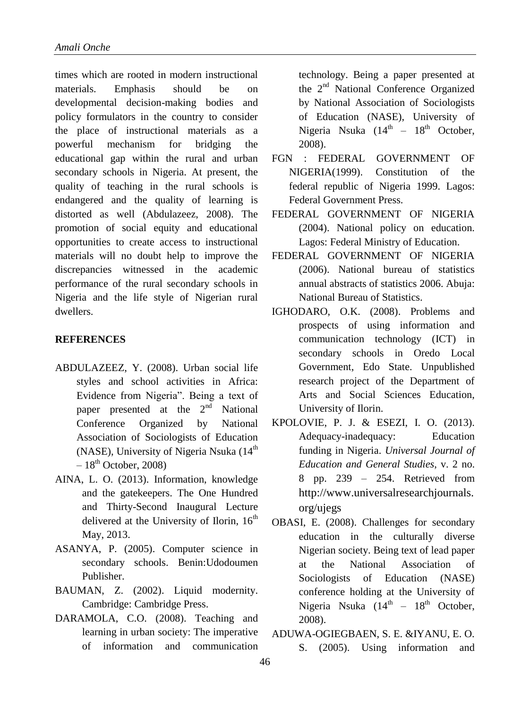times which are rooted in modern instructional materials. Emphasis should be on developmental decision-making bodies and policy formulators in the country to consider the place of instructional materials as a powerful mechanism for bridging the educational gap within the rural and urban secondary schools in Nigeria. At present, the quality of teaching in the rural schools is endangered and the quality of learning is distorted as well (Abdulazeez, 2008). The promotion of social equity and educational opportunities to create access to instructional materials will no doubt help to improve the discrepancies witnessed in the academic performance of the rural secondary schools in Nigeria and the life style of Nigerian rural dwellers.

#### **REFERENCES**

- ABDULAZEEZ, Y. (2008). Urban social life styles and school activities in Africa: Evidence from Nigeria". Being a text of paper presented at the  $2<sup>nd</sup>$  National Conference Organized by National Association of Sociologists of Education (NASE), University of Nigeria Nsuka (14<sup>th</sup>)  $-18^{th}$  October, 2008)
- AINA, L. O. (2013). Information, knowledge and the gatekeepers. The One Hundred and Thirty-Second Inaugural Lecture delivered at the University of Ilorin,  $16<sup>th</sup>$ May, 2013.
- ASANYA, P. (2005). Computer science in secondary schools. Benin:Udodoumen Publisher.
- BAUMAN, Z. (2002). Liquid modernity. Cambridge: Cambridge Press.
- DARAMOLA, C.O. (2008). Teaching and learning in urban society: The imperative of information and communication

technology. Being a paper presented at the 2nd National Conference Organized by National Association of Sociologists of Education (NASE), University of Nigeria Nsuka  $(14<sup>th</sup> - 18<sup>th</sup>$  October, 2008).

- FGN : FEDERAL GOVERNMENT OF NIGERIA(1999). Constitution of the federal republic of Nigeria 1999. Lagos: Federal Government Press.
- FEDERAL GOVERNMENT OF NIGERIA (2004). National policy on education. Lagos: Federal Ministry of Education.
- FEDERAL GOVERNMENT OF NIGERIA (2006). National bureau of statistics annual abstracts of statistics 2006. Abuja: National Bureau of Statistics.
- IGHODARO, O.K. (2008). Problems and prospects of using information and communication technology (ICT) in secondary schools in Oredo Local Government, Edo State. Unpublished research project of the Department of Arts and Social Sciences Education, University of Ilorin.
- KPOLOVIE, P. J. & ESEZI, I. O. (2013). Adequacy-inadequacy: Education funding in Nigeria. *Universal Journal of Education and General Studies*, v. 2 no. 8 pp. 239 – 254. Retrieved from [http://www.universalresearchjournals.](http://www.universalresearchjournals.org/ujegs) [org/ujegs](http://www.universalresearchjournals.org/ujegs)
- OBASI, E. (2008). Challenges for secondary education in the culturally diverse Nigerian society. Being text of lead paper at the National Association of Sociologists of Education (NASE) conference holding at the University of Nigeria Nsuka  $(14<sup>th</sup> - 18<sup>th</sup>$  October, 2008).
- ADUWA-OGIEGBAEN, S. E. &IYANU, E. O. S. (2005). Using information and